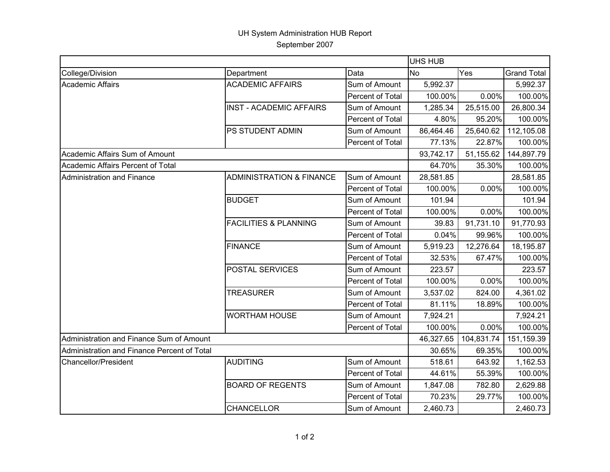## UH System Administration HUB Report September 2007

|                                             |                                     |                         | UHS HUB   |            |                    |  |
|---------------------------------------------|-------------------------------------|-------------------------|-----------|------------|--------------------|--|
| College/Division                            | Department                          | Data                    | <b>No</b> | Yes        | <b>Grand Total</b> |  |
| Academic Affairs                            | <b>ACADEMIC AFFAIRS</b>             | Sum of Amount           | 5,992.37  |            | 5,992.37           |  |
|                                             |                                     | Percent of Total        | 100.00%   | 0.00%      | 100.00%            |  |
|                                             | <b>INST - ACADEMIC AFFAIRS</b>      | Sum of Amount           | 1,285.34  | 25,515.00  | 26,800.34          |  |
|                                             |                                     | Percent of Total        | 4.80%     | 95.20%     | 100.00%            |  |
|                                             | PS STUDENT ADMIN                    | Sum of Amount           | 86,464.46 | 25,640.62  | 112,105.08         |  |
|                                             |                                     | Percent of Total        | 77.13%    | 22.87%     | 100.00%            |  |
| Academic Affairs Sum of Amount              |                                     |                         | 93,742.17 | 51,155.62  | 144,897.79         |  |
| Academic Affairs Percent of Total           |                                     |                         | 64.70%    | 35.30%     | 100.00%            |  |
| <b>Administration and Finance</b>           | <b>ADMINISTRATION &amp; FINANCE</b> | Sum of Amount           | 28,581.85 |            | 28,581.85          |  |
|                                             |                                     | Percent of Total        | 100.00%   | 0.00%      | 100.00%            |  |
|                                             | <b>BUDGET</b>                       | Sum of Amount           | 101.94    |            | 101.94             |  |
|                                             |                                     | Percent of Total        | 100.00%   | 0.00%      | 100.00%            |  |
|                                             | <b>FACILITIES &amp; PLANNING</b>    | Sum of Amount           | 39.83     | 91,731.10  | 91,770.93          |  |
|                                             |                                     | <b>Percent of Total</b> | 0.04%     | 99.96%     | 100.00%            |  |
|                                             | <b>FINANCE</b>                      | Sum of Amount           | 5,919.23  | 12,276.64  | 18,195.87          |  |
|                                             |                                     | Percent of Total        | 32.53%    | 67.47%     | 100.00%            |  |
|                                             | <b>POSTAL SERVICES</b>              | Sum of Amount           | 223.57    |            | 223.57             |  |
|                                             |                                     | Percent of Total        | 100.00%   | 0.00%      | 100.00%            |  |
|                                             | <b>TREASURER</b>                    | Sum of Amount           | 3,537.02  | 824.00     | 4,361.02           |  |
|                                             |                                     | Percent of Total        | 81.11%    | 18.89%     | 100.00%            |  |
|                                             | <b>WORTHAM HOUSE</b>                | Sum of Amount           | 7,924.21  |            | 7,924.21           |  |
|                                             |                                     | Percent of Total        | 100.00%   | 0.00%      | 100.00%            |  |
| Administration and Finance Sum of Amount    |                                     |                         | 46,327.65 | 104,831.74 | 151,159.39         |  |
| Administration and Finance Percent of Total |                                     |                         | 30.65%    | 69.35%     | 100.00%            |  |
| <b>Chancellor/President</b>                 | <b>AUDITING</b>                     | Sum of Amount           | 518.61    | 643.92     | 1,162.53           |  |
|                                             |                                     | Percent of Total        | 44.61%    | 55.39%     | 100.00%            |  |
|                                             | <b>BOARD OF REGENTS</b>             | Sum of Amount           | 1,847.08  | 782.80     | 2,629.88           |  |
|                                             |                                     | Percent of Total        | 70.23%    | 29.77%     | 100.00%            |  |
|                                             | CHANCELLOR                          | Sum of Amount           | 2,460.73  |            | 2,460.73           |  |